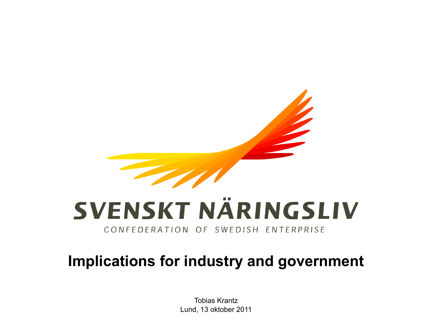

# SVENSKT NÄRINGSLIV

CONFEDERATION OF SWEDISH ENTERPRISE

#### **Implications for industry and government**

Tobias Krantz Lund, 13 oktober 2011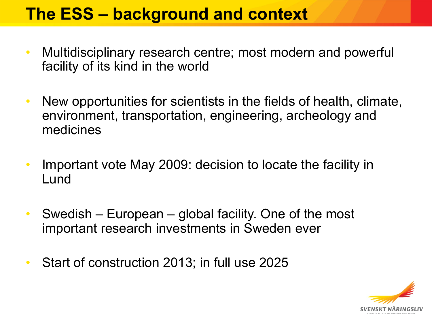## **The ESS – background and context**

- Multidisciplinary research centre; most modern and powerful facility of its kind in the world
- New opportunities for scientists in the fields of health, climate, environment, transportation, engineering, archeology and medicines
- Important vote May 2009: decision to locate the facility in Lund
- Swedish European global facility. One of the most important research investments in Sweden ever
- Start of construction 2013; in full use 2025

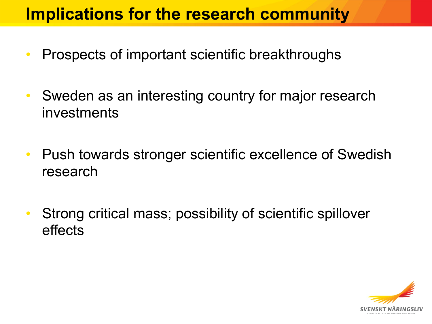### **Implications for the research community**

- Prospects of important scientific breakthroughs
- Sweden as an interesting country for major research investments
- Push towards stronger scientific excellence of Swedish research
- Strong critical mass; possibility of scientific spillover effects

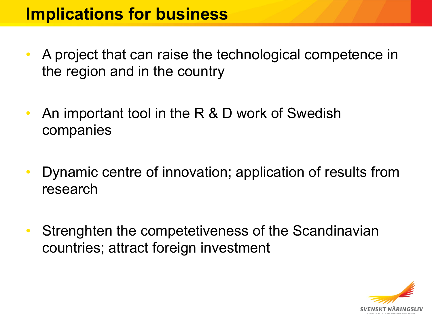#### **Implications for business**

- A project that can raise the technological competence in the region and in the country
- An important tool in the R & D work of Swedish companies
- Dynamic centre of innovation; application of results from research
- Strenghten the competetiveness of the Scandinavian countries; attract foreign investment